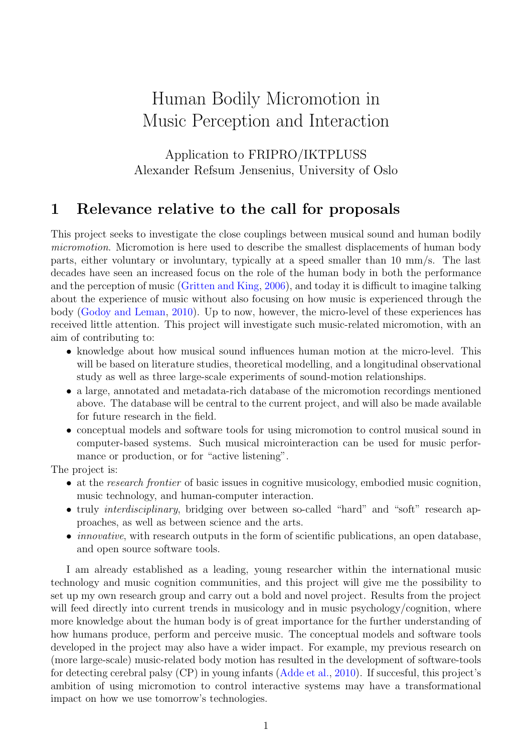# Human Bodily Micromotion in Music Perception and Interaction

Application to FRIPRO/IKTPLUSS Alexander Refsum Jensenius, University of Oslo

# 1 Relevance relative to the call for proposals

This project seeks to investigate the close couplings between musical sound and human bodily micromotion. Micromotion is here used to describe the smallest displacements of human body parts, either voluntary or involuntary, typically at a speed smaller than 10 mm/s. The last decades have seen an increased focus on the role of the human body in both the performance and the perception of music [\(Gritten and King,](#page-9-0) [2006\)](#page-9-0), and today it is difficult to imagine talking about the experience of music without also focusing on how music is experienced through the body [\(Godoy and Leman,](#page-9-1) [2010\)](#page-9-1). Up to now, however, the micro-level of these experiences has received little attention. This project will investigate such music-related micromotion, with an aim of contributing to:

- knowledge about how musical sound influences human motion at the micro-level. This will be based on literature studies, theoretical modelling, and a longitudinal observational study as well as three large-scale experiments of sound-motion relationships.
- a large, annotated and metadata-rich database of the micromotion recordings mentioned above. The database will be central to the current project, and will also be made available for future research in the field.
- conceptual models and software tools for using micromotion to control musical sound in computer-based systems. Such musical microinteraction can be used for music performance or production, or for "active listening".

The project is:

- at the research frontier of basic issues in cognitive musicology, embodied music cognition, music technology, and human-computer interaction.
- truly *interdisciplinary*, bridging over between so-called "hard" and "soft" research approaches, as well as between science and the arts.
- *innovative*, with research outputs in the form of scientific publications, an open database, and open source software tools.

I am already established as a leading, young researcher within the international music technology and music cognition communities, and this project will give me the possibility to set up my own research group and carry out a bold and novel project. Results from the project will feed directly into current trends in musicology and in music psychology/cognition, where more knowledge about the human body is of great importance for the further understanding of how humans produce, perform and perceive music. The conceptual models and software tools developed in the project may also have a wider impact. For example, my previous research on (more large-scale) music-related body motion has resulted in the development of software-tools for detecting cerebral palsy (CP) in young infants [\(Adde et al.,](#page-9-2) [2010\)](#page-9-2). If succesful, this project's ambition of using micromotion to control interactive systems may have a transformational impact on how we use tomorrow's technologies.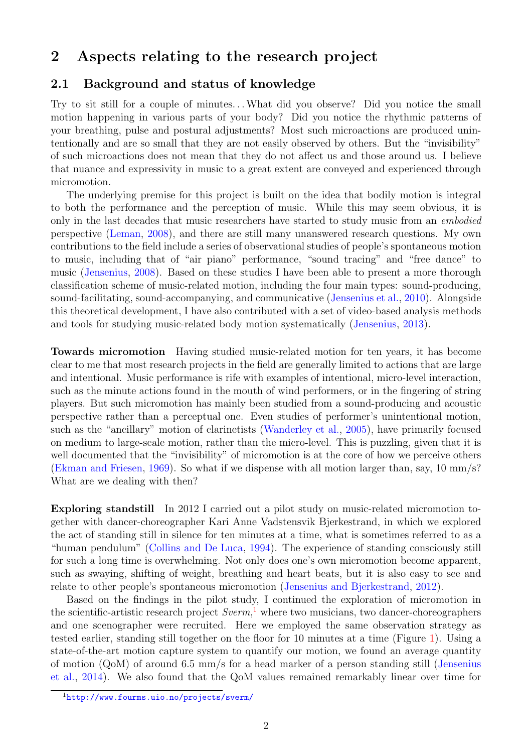# 2 Aspects relating to the research project

### 2.1 Background and status of knowledge

Try to sit still for a couple of minutes. . .What did you observe? Did you notice the small motion happening in various parts of your body? Did you notice the rhythmic patterns of your breathing, pulse and postural adjustments? Most such microactions are produced unintentionally and are so small that they are not easily observed by others. But the "invisibility" of such microactions does not mean that they do not affect us and those around us. I believe that nuance and expressivity in music to a great extent are conveyed and experienced through micromotion.

The underlying premise for this project is built on the idea that bodily motion is integral to both the performance and the perception of music. While this may seem obvious, it is only in the last decades that music researchers have started to study music from an embodied perspective [\(Leman,](#page-9-3) [2008\)](#page-9-3), and there are still many unanswered research questions. My own contributions to the field include a series of observational studies of people's spontaneous motion to music, including that of "air piano" performance, "sound tracing" and "free dance" to music [\(Jensenius,](#page-9-4) [2008\)](#page-9-4). Based on these studies I have been able to present a more thorough classification scheme of music-related motion, including the four main types: sound-producing, sound-facilitating, sound-accompanying, and communicative [\(Jensenius et al.,](#page-9-5) [2010\)](#page-9-5). Alongside this theoretical development, I have also contributed with a set of video-based analysis methods and tools for studying music-related body motion systematically [\(Jensenius,](#page-9-6) [2013\)](#page-9-6).

Towards micromotion Having studied music-related motion for ten years, it has become clear to me that most research projects in the field are generally limited to actions that are large and intentional. Music performance is rife with examples of intentional, micro-level interaction, such as the minute actions found in the mouth of wind performers, or in the fingering of string players. But such micromotion has mainly been studied from a sound-producing and acoustic perspective rather than a perceptual one. Even studies of performer's unintentional motion, such as the "ancillary" motion of clarinetists [\(Wanderley et al.,](#page-9-7) [2005\)](#page-9-7), have primarily focused on medium to large-scale motion, rather than the micro-level. This is puzzling, given that it is well documented that the "invisibility" of micromotion is at the core of how we perceive others [\(Ekman and Friesen,](#page-9-8) [1969\)](#page-9-8). So what if we dispense with all motion larger than, say, 10  $\text{mm/s}$ ? What are we dealing with then?

Exploring standstill In 2012 I carried out a pilot study on music-related micromotion together with dancer-choreographer Kari Anne Vadstensvik Bjerkestrand, in which we explored the act of standing still in silence for ten minutes at a time, what is sometimes referred to as a "human pendulum" [\(Collins and De Luca,](#page-9-9) [1994\)](#page-9-9). The experience of standing consciously still for such a long time is overwhelming. Not only does one's own micromotion become apparent, such as swaying, shifting of weight, breathing and heart beats, but it is also easy to see and relate to other people's spontaneous micromotion [\(Jensenius and Bjerkestrand,](#page-9-10) [2012\)](#page-9-10).

Based on the findings in the pilot study, I continued the exploration of micromotion in the scientific-artistic research project  $Sverm$ ,<sup>[1](#page-1-0)</sup> where two musicians, two dancer-choreographers and one scenographer were recruited. Here we employed the same observation strategy as tested earlier, standing still together on the floor for 10 minutes at a time (Figure [1\)](#page-2-0). Using a state-of-the-art motion capture system to quantify our motion, we found an average quantity of motion (QoM) of around 6.5 mm/s for a head marker of a person standing still [\(Jensenius](#page-9-11) [et al.,](#page-9-11) [2014\)](#page-9-11). We also found that the QoM values remained remarkably linear over time for

<span id="page-1-0"></span><sup>1</sup><http://www.fourms.uio.no/projects/sverm/>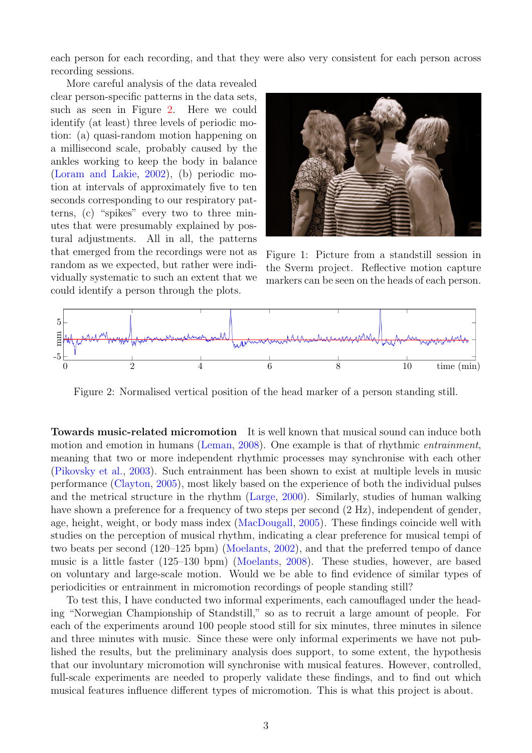each person for each recording, and that they were also very consistent for each person across recording sessions.

More careful analysis of the data revealed clear person-specific patterns in the data sets, such as seen in Figure [2.](#page-2-1) Here we could identify (at least) three levels of periodic motion: (a) quasi-random motion happening on a millisecond scale, probably caused by the ankles working to keep the body in balance [\(Loram and Lakie,](#page-9-12) [2002\)](#page-9-12), (b) periodic motion at intervals of approximately five to ten seconds corresponding to our respiratory patterns, (c) "spikes" every two to three minutes that were presumably explained by postural adjustments. All in all, the patterns that emerged from the recordings were not as random as we expected, but rather were individually systematic to such an extent that we could identify a person through the plots.

<span id="page-2-0"></span>

Figure 1: Picture from a standstill session in the Sverm project. Reflective motion capture markers can be seen on the heads of each person.



<span id="page-2-1"></span>Figure 2: Normalised vertical position of the head marker of a person standing still.

Towards music-related micromotion It is well known that musical sound can induce both motion and emotion in humans [\(Leman,](#page-9-3) [2008\)](#page-9-3). One example is that of rhythmic entrainment, meaning that two or more independent rhythmic processes may synchronise with each other [\(Pikovsky et al.,](#page-9-13) [2003\)](#page-9-13). Such entrainment has been shown to exist at multiple levels in music performance [\(Clayton,](#page-9-14) [2005\)](#page-9-14), most likely based on the experience of both the individual pulses and the metrical structure in the rhythm [\(Large,](#page-9-15) [2000\)](#page-9-15). Similarly, studies of human walking have shown a preference for a frequency of two steps per second  $(2 \text{ Hz})$ , independent of gender, age, height, weight, or body mass index [\(MacDougall,](#page-9-16) [2005\)](#page-9-16). These findings coincide well with studies on the perception of musical rhythm, indicating a clear preference for musical tempi of two beats per second (120–125 bpm) [\(Moelants,](#page-9-17) [2002\)](#page-9-17), and that the preferred tempo of dance music is a little faster (125–130 bpm) [\(Moelants,](#page-9-18) [2008\)](#page-9-18). These studies, however, are based on voluntary and large-scale motion. Would we be able to find evidence of similar types of periodicities or entrainment in micromotion recordings of people standing still?

To test this, I have conducted two informal experiments, each camouflaged under the heading "Norwegian Championship of Standstill," so as to recruit a large amount of people. For each of the experiments around 100 people stood still for six minutes, three minutes in silence and three minutes with music. Since these were only informal experiments we have not published the results, but the preliminary analysis does support, to some extent, the hypothesis that our involuntary micromotion will synchronise with musical features. However, controlled, full-scale experiments are needed to properly validate these findings, and to find out which musical features influence different types of micromotion. This is what this project is about.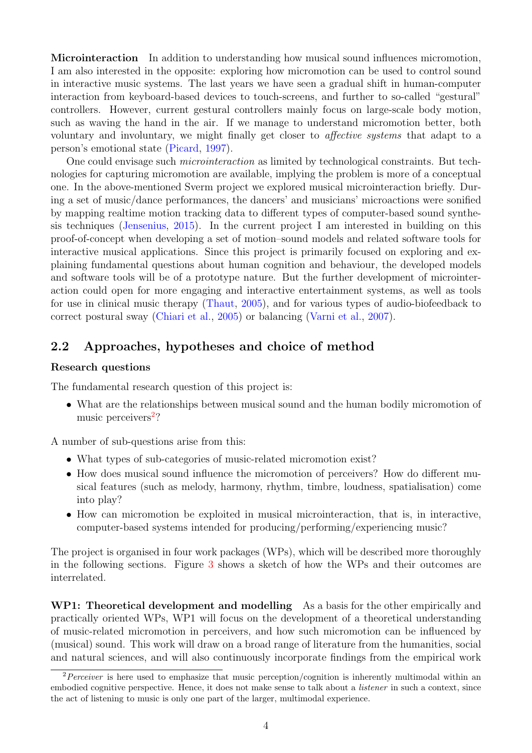Microinteraction In addition to understanding how musical sound influences micromotion, I am also interested in the opposite: exploring how micromotion can be used to control sound in interactive music systems. The last years we have seen a gradual shift in human-computer interaction from keyboard-based devices to touch-screens, and further to so-called "gestural" controllers. However, current gestural controllers mainly focus on large-scale body motion, such as waving the hand in the air. If we manage to understand micromotion better, both voluntary and involuntary, we might finally get closer to affective systems that adapt to a person's emotional state [\(Picard,](#page-9-19) [1997\)](#page-9-19).

One could envisage such microinteraction as limited by technological constraints. But technologies for capturing micromotion are available, implying the problem is more of a conceptual one. In the above-mentioned Sverm project we explored musical microinteraction briefly. During a set of music/dance performances, the dancers' and musicians' microactions were sonified by mapping realtime motion tracking data to different types of computer-based sound synthesis techniques [\(Jensenius,](#page-9-20) [2015\)](#page-9-20). In the current project I am interested in building on this proof-of-concept when developing a set of motion–sound models and related software tools for interactive musical applications. Since this project is primarily focused on exploring and explaining fundamental questions about human cognition and behaviour, the developed models and software tools will be of a prototype nature. But the further development of microinteraction could open for more engaging and interactive entertainment systems, as well as tools for use in clinical music therapy [\(Thaut,](#page-9-21) [2005\)](#page-9-21), and for various types of audio-biofeedback to correct postural sway [\(Chiari et al.,](#page-9-22) [2005\)](#page-9-22) or balancing [\(Varni et al.,](#page-9-23) [2007\)](#page-9-23).

#### 2.2 Approaches, hypotheses and choice of method

#### Research questions

The fundamental research question of this project is:

• What are the relationships between musical sound and the human bodily micromotion of music perceivers<sup>[2](#page-3-0)</sup>?

A number of sub-questions arise from this:

- What types of sub-categories of music-related micromotion exist?
- How does musical sound influence the micromotion of perceivers? How do different musical features (such as melody, harmony, rhythm, timbre, loudness, spatialisation) come into play?
- How can micromotion be exploited in musical microinteraction, that is, in interactive, computer-based systems intended for producing/performing/experiencing music?

The project is organised in four work packages (WPs), which will be described more thoroughly in the following sections. Figure [3](#page-4-0) shows a sketch of how the WPs and their outcomes are interrelated.

WP1: Theoretical development and modelling As a basis for the other empirically and practically oriented WPs, WP1 will focus on the development of a theoretical understanding of music-related micromotion in perceivers, and how such micromotion can be influenced by (musical) sound. This work will draw on a broad range of literature from the humanities, social and natural sciences, and will also continuously incorporate findings from the empirical work

<span id="page-3-0"></span><sup>&</sup>lt;sup>2</sup>Perceiver is here used to emphasize that music perception/cognition is inherently multimodal within an embodied cognitive perspective. Hence, it does not make sense to talk about a listener in such a context, since the act of listening to music is only one part of the larger, multimodal experience.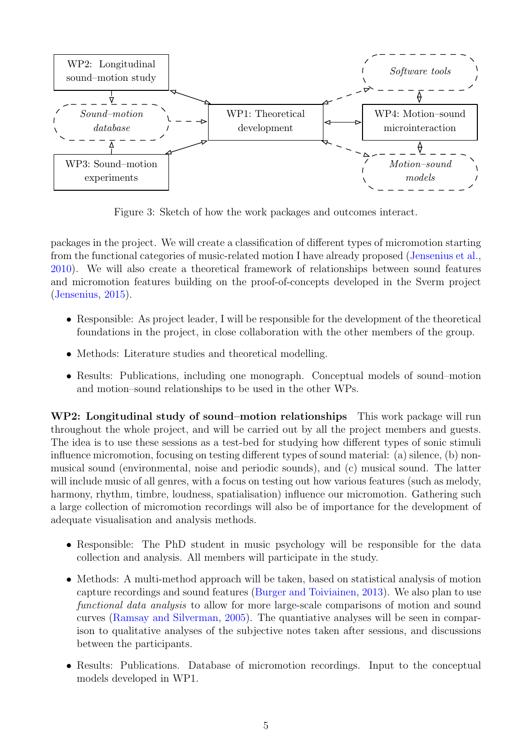

<span id="page-4-0"></span>Figure 3: Sketch of how the work packages and outcomes interact.

packages in the project. We will create a classification of different types of micromotion starting from the functional categories of music-related motion I have already proposed [\(Jensenius et al.,](#page-9-5) [2010\)](#page-9-5). We will also create a theoretical framework of relationships between sound features and micromotion features building on the proof-of-concepts developed in the Sverm project [\(Jensenius,](#page-9-20) [2015\)](#page-9-20).

- Responsible: As project leader, I will be responsible for the development of the theoretical foundations in the project, in close collaboration with the other members of the group.
- Methods: Literature studies and theoretical modelling.
- Results: Publications, including one monograph. Conceptual models of sound–motion and motion–sound relationships to be used in the other WPs.

WP2: Longitudinal study of sound–motion relationships This work package will run throughout the whole project, and will be carried out by all the project members and guests. The idea is to use these sessions as a test-bed for studying how different types of sonic stimuli influence micromotion, focusing on testing different types of sound material: (a) silence, (b) nonmusical sound (environmental, noise and periodic sounds), and (c) musical sound. The latter will include music of all genres, with a focus on testing out how various features (such as melody, harmony, rhythm, timbre, loudness, spatialisation) influence our micromotion. Gathering such a large collection of micromotion recordings will also be of importance for the development of adequate visualisation and analysis methods.

- Responsible: The PhD student in music psychology will be responsible for the data collection and analysis. All members will participate in the study.
- Methods: A multi-method approach will be taken, based on statistical analysis of motion capture recordings and sound features [\(Burger and Toiviainen,](#page-9-24) [2013\)](#page-9-24). We also plan to use functional data analysis to allow for more large-scale comparisons of motion and sound curves [\(Ramsay and Silverman,](#page-9-25) [2005\)](#page-9-25). The quantiative analyses will be seen in comparison to qualitative analyses of the subjective notes taken after sessions, and discussions between the participants.
- Results: Publications. Database of micromotion recordings. Input to the conceptual models developed in WP1.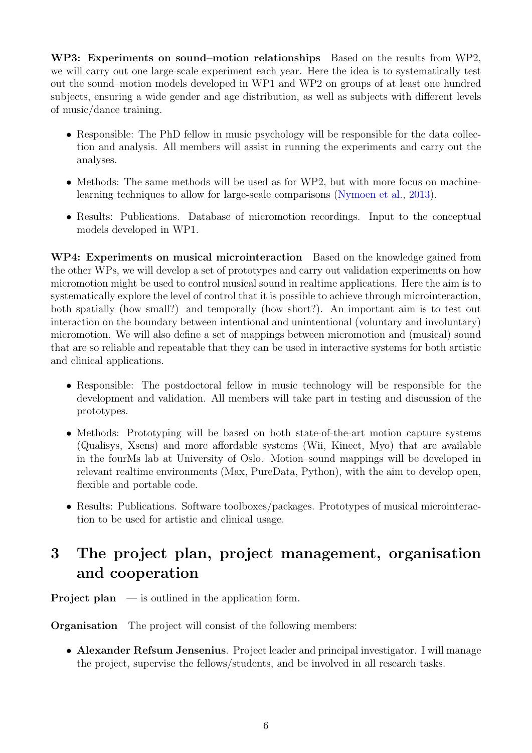WP3: Experiments on sound–motion relationships Based on the results from WP2, we will carry out one large-scale experiment each year. Here the idea is to systematically test out the sound–motion models developed in WP1 and WP2 on groups of at least one hundred subjects, ensuring a wide gender and age distribution, as well as subjects with different levels of music/dance training.

- Responsible: The PhD fellow in music psychology will be responsible for the data collection and analysis. All members will assist in running the experiments and carry out the analyses.
- Methods: The same methods will be used as for WP2, but with more focus on machinelearning techniques to allow for large-scale comparisons [\(Nymoen et al.,](#page-9-26) [2013\)](#page-9-26).
- Results: Publications. Database of micromotion recordings. Input to the conceptual models developed in WP1.

WP4: Experiments on musical microinteraction Based on the knowledge gained from the other WPs, we will develop a set of prototypes and carry out validation experiments on how micromotion might be used to control musical sound in realtime applications. Here the aim is to systematically explore the level of control that it is possible to achieve through microinteraction, both spatially (how small?) and temporally (how short?). An important aim is to test out interaction on the boundary between intentional and unintentional (voluntary and involuntary) micromotion. We will also define a set of mappings between micromotion and (musical) sound that are so reliable and repeatable that they can be used in interactive systems for both artistic and clinical applications.

- Responsible: The postdoctoral fellow in music technology will be responsible for the development and validation. All members will take part in testing and discussion of the prototypes.
- Methods: Prototyping will be based on both state-of-the-art motion capture systems (Qualisys, Xsens) and more affordable systems (Wii, Kinect, Myo) that are available in the fourMs lab at University of Oslo. Motion–sound mappings will be developed in relevant realtime environments (Max, PureData, Python), with the aim to develop open, flexible and portable code.
- Results: Publications. Software toolboxes/packages. Prototypes of musical microinteraction to be used for artistic and clinical usage.

# 3 The project plan, project management, organisation and cooperation

**Project plan** — is outlined in the application form.

Organisation The project will consist of the following members:

• Alexander Refsum Jensenius. Project leader and principal investigator. I will manage the project, supervise the fellows/students, and be involved in all research tasks.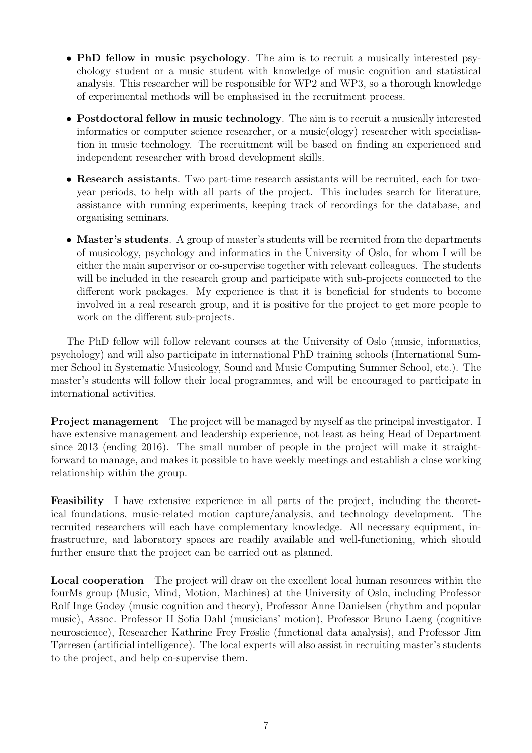- PhD fellow in music psychology. The aim is to recruit a musically interested psychology student or a music student with knowledge of music cognition and statistical analysis. This researcher will be responsible for WP2 and WP3, so a thorough knowledge of experimental methods will be emphasised in the recruitment process.
- Postdoctoral fellow in music technology. The aim is to recruit a musically interested informatics or computer science researcher, or a music(ology) researcher with specialisation in music technology. The recruitment will be based on finding an experienced and independent researcher with broad development skills.
- Research assistants. Two part-time research assistants will be recruited, each for twoyear periods, to help with all parts of the project. This includes search for literature, assistance with running experiments, keeping track of recordings for the database, and organising seminars.
- Master's students. A group of master's students will be recruited from the departments of musicology, psychology and informatics in the University of Oslo, for whom I will be either the main supervisor or co-supervise together with relevant colleagues. The students will be included in the research group and participate with sub-projects connected to the different work packages. My experience is that it is beneficial for students to become involved in a real research group, and it is positive for the project to get more people to work on the different sub-projects.

The PhD fellow will follow relevant courses at the University of Oslo (music, informatics, psychology) and will also participate in international PhD training schools (International Summer School in Systematic Musicology, Sound and Music Computing Summer School, etc.). The master's students will follow their local programmes, and will be encouraged to participate in international activities.

Project management The project will be managed by myself as the principal investigator. I have extensive management and leadership experience, not least as being Head of Department since 2013 (ending 2016). The small number of people in the project will make it straightforward to manage, and makes it possible to have weekly meetings and establish a close working relationship within the group.

Feasibility I have extensive experience in all parts of the project, including the theoretical foundations, music-related motion capture/analysis, and technology development. The recruited researchers will each have complementary knowledge. All necessary equipment, infrastructure, and laboratory spaces are readily available and well-functioning, which should further ensure that the project can be carried out as planned.

Local cooperation The project will draw on the excellent local human resources within the fourMs group (Music, Mind, Motion, Machines) at the University of Oslo, including Professor Rolf Inge Godøy (music cognition and theory), Professor Anne Danielsen (rhythm and popular music), Assoc. Professor II Sofia Dahl (musicians' motion), Professor Bruno Laeng (cognitive neuroscience), Researcher Kathrine Frey Frøslie (functional data analysis), and Professor Jim Tørresen (artificial intelligence). The local experts will also assist in recruiting master's students to the project, and help co-supervise them.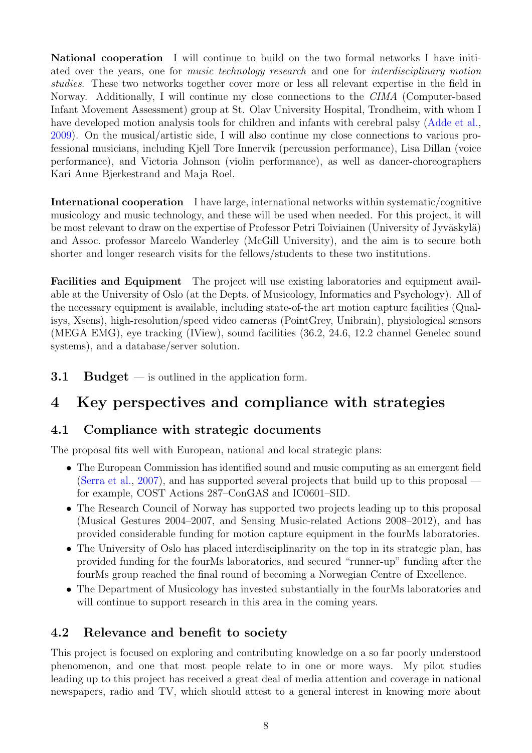National cooperation I will continue to build on the two formal networks I have initiated over the years, one for music technology research and one for interdisciplinary motion studies. These two networks together cover more or less all relevant expertise in the field in Norway. Additionally, I will continue my close connections to the CIMA (Computer-based Infant Movement Assessment) group at St. Olav University Hospital, Trondheim, with whom I have developed motion analysis tools for children and infants with cerebral palsy [\(Adde et al.,](#page-9-27) [2009\)](#page-9-27). On the musical/artistic side, I will also continue my close connections to various professional musicians, including Kjell Tore Innervik (percussion performance), Lisa Dillan (voice performance), and Victoria Johnson (violin performance), as well as dancer-choreographers Kari Anne Bjerkestrand and Maja Roel.

International cooperation I have large, international networks within systematic/cognitive musicology and music technology, and these will be used when needed. For this project, it will be most relevant to draw on the expertise of Professor Petri Toiviainen (University of Jyväskylä) and Assoc. professor Marcelo Wanderley (McGill University), and the aim is to secure both shorter and longer research visits for the fellows/students to these two institutions.

Facilities and Equipment The project will use existing laboratories and equipment available at the University of Oslo (at the Depts. of Musicology, Informatics and Psychology). All of the necessary equipment is available, including state-of-the art motion capture facilities (Qualisys, Xsens), high-resolution/speed video cameras (PointGrey, Unibrain), physiological sensors (MEGA EMG), eye tracking (IView), sound facilities (36.2, 24.6, 12.2 channel Genelec sound systems), and a database/server solution.

**3.1 Budget** — is outlined in the application form.

# 4 Key perspectives and compliance with strategies

### 4.1 Compliance with strategic documents

The proposal fits well with European, national and local strategic plans:

- The European Commission has identified sound and music computing as an emergent field [\(Serra et al.,](#page-9-28) [2007\)](#page-9-28), and has supported several projects that build up to this proposal for example, COST Actions 287–ConGAS and IC0601–SID.
- The Research Council of Norway has supported two projects leading up to this proposal (Musical Gestures 2004–2007, and Sensing Music-related Actions 2008–2012), and has provided considerable funding for motion capture equipment in the fourMs laboratories.
- The University of Oslo has placed interdisciplinarity on the top in its strategic plan, has provided funding for the fourMs laboratories, and secured "runner-up" funding after the fourMs group reached the final round of becoming a Norwegian Centre of Excellence.
- The Department of Musicology has invested substantially in the fourMs laboratories and will continue to support research in this area in the coming years.

### 4.2 Relevance and benefit to society

This project is focused on exploring and contributing knowledge on a so far poorly understood phenomenon, and one that most people relate to in one or more ways. My pilot studies leading up to this project has received a great deal of media attention and coverage in national newspapers, radio and TV, which should attest to a general interest in knowing more about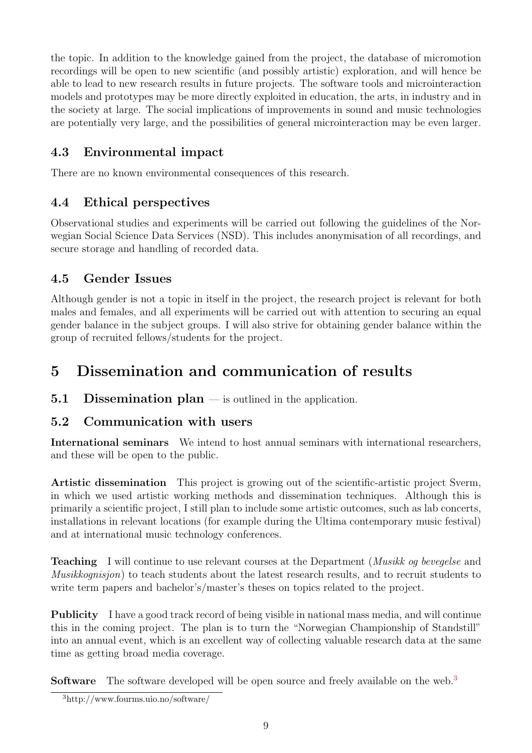the topic. In addition to the knowledge gained from the project, the database of micromotion recordings will be open to new scientific (and possibly artistic) exploration, and will hence be able to lead to new research results in future projects. The software tools and microinteraction models and prototypes may be more directly exploited in education, the arts, in industry and in the society at large. The social implications of improvements in sound and music technologies are potentially very large, and the possibilities of general microinteraction may be even larger.

# 4.3 Environmental impact

There are no known environmental consequences of this research.

# 4.4 Ethical perspectives

Observational studies and experiments will be carried out following the guidelines of the Norwegian Social Science Data Services (NSD). This includes anonymisation of all recordings, and secure storage and handling of recorded data.

# 4.5 Gender Issues

Although gender is not a topic in itself in the project, the research project is relevant for both males and females, and all experiments will be carried out with attention to securing an equal gender balance in the subject groups. I will also strive for obtaining gender balance within the group of recruited fellows/students for the project.

# 5 Dissemination and communication of results

**5.1 Dissemination plan**  $-$  is outlined in the application.

### 5.2 Communication with users

International seminars We intend to host annual seminars with international researchers, and these will be open to the public.

Artistic dissemination This project is growing out of the scientific-artistic project Sverm, in which we used artistic working methods and dissemination techniques. Although this is primarily a scientific project, I still plan to include some artistic outcomes, such as lab concerts, installations in relevant locations (for example during the Ultima contemporary music festival) and at international music technology conferences.

Teaching I will continue to use relevant courses at the Department (Musikk og bevegelse and Musikkognisjon) to teach students about the latest research results, and to recruit students to write term papers and bachelor's/master's theses on topics related to the project.

Publicity I have a good track record of being visible in national mass media, and will continue this in the coming project. The plan is to turn the "Norwegian Championship of Standstill" into an annual event, which is an excellent way of collecting valuable research data at the same time as getting broad media coverage.

**Software** The software developed will be open source and freely available on the web.<sup>[3](#page-8-0)</sup>

<span id="page-8-0"></span><sup>3</sup>http://www.fourms.uio.no/software/